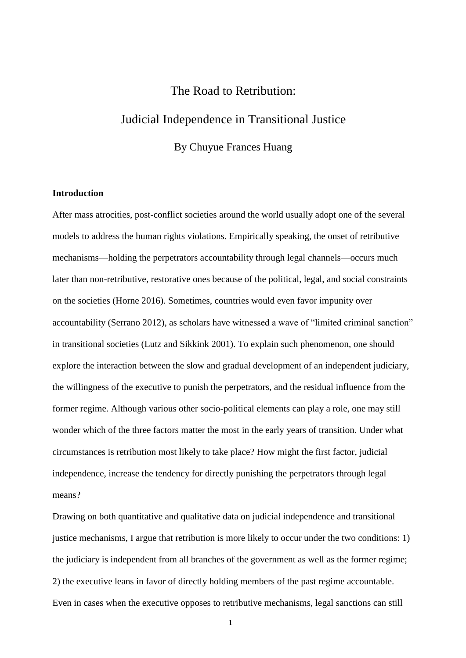### The Road to Retribution:

# Judicial Independence in Transitional Justice

By Chuyue Frances Huang

#### **Introduction**

After mass atrocities, post-conflict societies around the world usually adopt one of the several models to address the human rights violations. Empirically speaking, the onset of retributive mechanisms—holding the perpetrators accountability through legal channels—occurs much later than non-retributive, restorative ones because of the political, legal, and social constraints on the societies (Horne 2016). Sometimes, countries would even favor impunity over accountability (Serrano 2012), as scholars have witnessed a wave of "limited criminal sanction" in transitional societies (Lutz and Sikkink 2001). To explain such phenomenon, one should explore the interaction between the slow and gradual development of an independent judiciary, the willingness of the executive to punish the perpetrators, and the residual influence from the former regime. Although various other socio-political elements can play a role, one may still wonder which of the three factors matter the most in the early years of transition. Under what circumstances is retribution most likely to take place? How might the first factor, judicial independence, increase the tendency for directly punishing the perpetrators through legal means?

Drawing on both quantitative and qualitative data on judicial independence and transitional justice mechanisms, I argue that retribution is more likely to occur under the two conditions: 1) the judiciary is independent from all branches of the government as well as the former regime; 2) the executive leans in favor of directly holding members of the past regime accountable. Even in cases when the executive opposes to retributive mechanisms, legal sanctions can still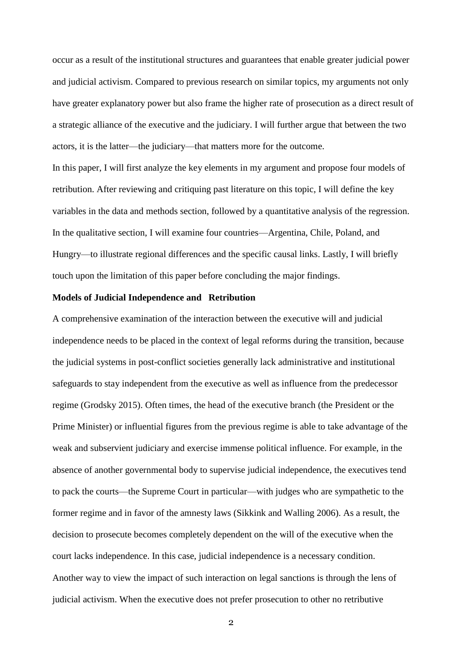occur as a result of the institutional structures and guarantees that enable greater judicial power and judicial activism. Compared to previous research on similar topics, my arguments not only have greater explanatory power but also frame the higher rate of prosecution as a direct result of a strategic alliance of the executive and the judiciary. I will further argue that between the two actors, it is the latter—the judiciary—that matters more for the outcome.

In this paper, I will first analyze the key elements in my argument and propose four models of retribution. After reviewing and critiquing past literature on this topic, I will define the key variables in the data and methods section, followed by a quantitative analysis of the regression. In the qualitative section, I will examine four countries—Argentina, Chile, Poland, and Hungry—to illustrate regional differences and the specific causal links. Lastly, I will briefly touch upon the limitation of this paper before concluding the major findings.

#### **Models of Judicial Independence and Retribution**

A comprehensive examination of the interaction between the executive will and judicial independence needs to be placed in the context of legal reforms during the transition, because the judicial systems in post-conflict societies generally lack administrative and institutional safeguards to stay independent from the executive as well as influence from the predecessor regime (Grodsky 2015). Often times, the head of the executive branch (the President or the Prime Minister) or influential figures from the previous regime is able to take advantage of the weak and subservient judiciary and exercise immense political influence. For example, in the absence of another governmental body to supervise judicial independence, the executives tend to pack the courts—the Supreme Court in particular—with judges who are sympathetic to the former regime and in favor of the amnesty laws (Sikkink and Walling 2006). As a result, the decision to prosecute becomes completely dependent on the will of the executive when the court lacks independence. In this case, judicial independence is a necessary condition. Another way to view the impact of such interaction on legal sanctions is through the lens of judicial activism. When the executive does not prefer prosecution to other no retributive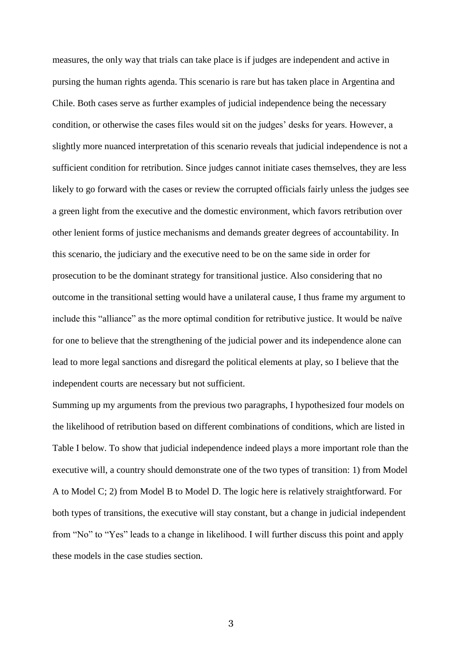measures, the only way that trials can take place is if judges are independent and active in pursing the human rights agenda. This scenario is rare but has taken place in Argentina and Chile. Both cases serve as further examples of judicial independence being the necessary condition, or otherwise the cases files would sit on the judges' desks for years. However, a slightly more nuanced interpretation of this scenario reveals that judicial independence is not a sufficient condition for retribution. Since judges cannot initiate cases themselves, they are less likely to go forward with the cases or review the corrupted officials fairly unless the judges see a green light from the executive and the domestic environment, which favors retribution over other lenient forms of justice mechanisms and demands greater degrees of accountability. In this scenario, the judiciary and the executive need to be on the same side in order for prosecution to be the dominant strategy for transitional justice. Also considering that no outcome in the transitional setting would have a unilateral cause, I thus frame my argument to include this "alliance" as the more optimal condition for retributive justice. It would be naïve for one to believe that the strengthening of the judicial power and its independence alone can lead to more legal sanctions and disregard the political elements at play, so I believe that the independent courts are necessary but not sufficient.

Summing up my arguments from the previous two paragraphs, I hypothesized four models on the likelihood of retribution based on different combinations of conditions, which are listed in Table I below. To show that judicial independence indeed plays a more important role than the executive will, a country should demonstrate one of the two types of transition: 1) from Model A to Model C; 2) from Model B to Model D. The logic here is relatively straightforward. For both types of transitions, the executive will stay constant, but a change in judicial independent from "No" to "Yes" leads to a change in likelihood. I will further discuss this point and apply these models in the case studies section.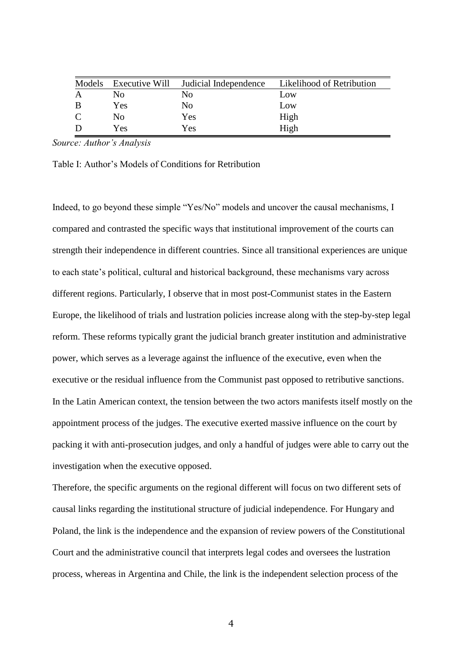| Models | Executive Will | Judicial Independence | Likelihood of Retribution |
|--------|----------------|-----------------------|---------------------------|
|        | N <sub>0</sub> | No                    | Low                       |
|        | Yes            | No                    | Low                       |
| C      | N <sub>0</sub> | Yes                   | High                      |
|        | Yes            | Yes                   | High                      |

*Source: Author's Analysis*

Table I: Author's Models of Conditions for Retribution

Indeed, to go beyond these simple "Yes/No" models and uncover the causal mechanisms, I compared and contrasted the specific ways that institutional improvement of the courts can strength their independence in different countries. Since all transitional experiences are unique to each state's political, cultural and historical background, these mechanisms vary across different regions. Particularly, I observe that in most post-Communist states in the Eastern Europe, the likelihood of trials and lustration policies increase along with the step-by-step legal reform. These reforms typically grant the judicial branch greater institution and administrative power, which serves as a leverage against the influence of the executive, even when the executive or the residual influence from the Communist past opposed to retributive sanctions. In the Latin American context, the tension between the two actors manifests itself mostly on the appointment process of the judges. The executive exerted massive influence on the court by packing it with anti-prosecution judges, and only a handful of judges were able to carry out the investigation when the executive opposed.

Therefore, the specific arguments on the regional different will focus on two different sets of causal links regarding the institutional structure of judicial independence. For Hungary and Poland, the link is the independence and the expansion of review powers of the Constitutional Court and the administrative council that interprets legal codes and oversees the lustration process, whereas in Argentina and Chile, the link is the independent selection process of the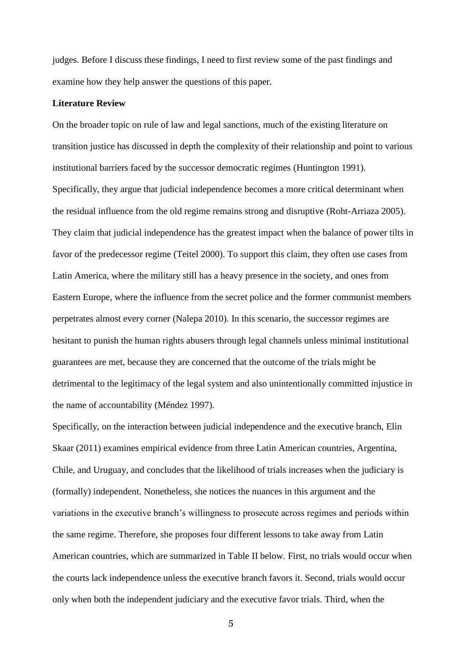judges. Before I discuss these findings, I need to first review some of the past findings and examine how they help answer the questions of this paper.

#### **Literature Review**

On the broader topic on rule of law and legal sanctions, much of the existing literature on transition justice has discussed in depth the complexity of their relationship and point to various institutional barriers faced by the successor democratic regimes (Huntington 1991). Specifically, they argue that judicial independence becomes a more critical determinant when the residual influence from the old regime remains strong and disruptive (Roht-Arriaza 2005). They claim that judicial independence has the greatest impact when the balance of power tilts in favor of the predecessor regime (Teitel 2000). To support this claim, they often use cases from Latin America, where the military still has a heavy presence in the society, and ones from Eastern Europe, where the influence from the secret police and the former communist members perpetrates almost every corner (Nalepa 2010). In this scenario, the successor regimes are hesitant to punish the human rights abusers through legal channels unless minimal institutional guarantees are met, because they are concerned that the outcome of the trials might be detrimental to the legitimacy of the legal system and also unintentionally committed injustice in the name of accountability (Méndez 1997).

Specifically, on the interaction between judicial independence and the executive branch, Elin Skaar (2011) examines empirical evidence from three Latin American countries, Argentina, Chile, and Uruguay, and concludes that the likelihood of trials increases when the judiciary is (formally) independent. Nonetheless, she notices the nuances in this argument and the variations in the executive branch's willingness to prosecute across regimes and periods within the same regime. Therefore, she proposes four different lessons to take away from Latin American countries, which are summarized in Table II below. First, no trials would occur when the courts lack independence unless the executive branch favors it. Second, trials would occur only when both the independent judiciary and the executive favor trials. Third, when the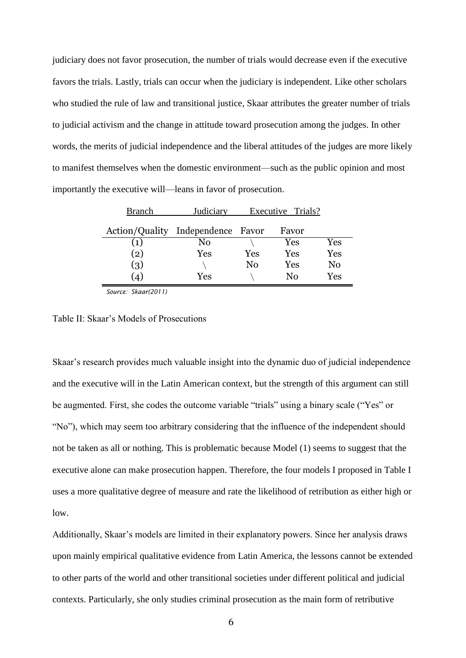judiciary does not favor prosecution, the number of trials would decrease even if the executive favors the trials. Lastly, trials can occur when the judiciary is independent. Like other scholars who studied the rule of law and transitional justice, Skaar attributes the greater number of trials to judicial activism and the change in attitude toward prosecution among the judges. In other words, the merits of judicial independence and the liberal attitudes of the judges are more likely to manifest themselves when the domestic environment—such as the public opinion and most importantly the executive will—leans in favor of prosecution.

| <b>Branch</b>                     | Judiciary |          | Executive Trials? |     |
|-----------------------------------|-----------|----------|-------------------|-----|
| Action/Quality Independence Favor |           |          | Favor             |     |
| (1)                               | No        |          | Yes               | Yes |
| (2)                               | Yes       | Yes      | Yes               | Yes |
| (3)                               |           | $\rm No$ | Yes               | No  |
| $\Delta$                          | Yes       |          | No                | Yes |

*Source: Skaar(2011)*

Table II: Skaar's Models of Prosecutions

Skaar's research provides much valuable insight into the dynamic duo of judicial independence and the executive will in the Latin American context, but the strength of this argument can still be augmented. First, she codes the outcome variable "trials" using a binary scale ("Yes" or "No"), which may seem too arbitrary considering that the influence of the independent should not be taken as all or nothing. This is problematic because Model (1) seems to suggest that the executive alone can make prosecution happen. Therefore, the four models I proposed in Table I uses a more qualitative degree of measure and rate the likelihood of retribution as either high or low.

Additionally, Skaar's models are limited in their explanatory powers. Since her analysis draws upon mainly empirical qualitative evidence from Latin America, the lessons cannot be extended to other parts of the world and other transitional societies under different political and judicial contexts. Particularly, she only studies criminal prosecution as the main form of retributive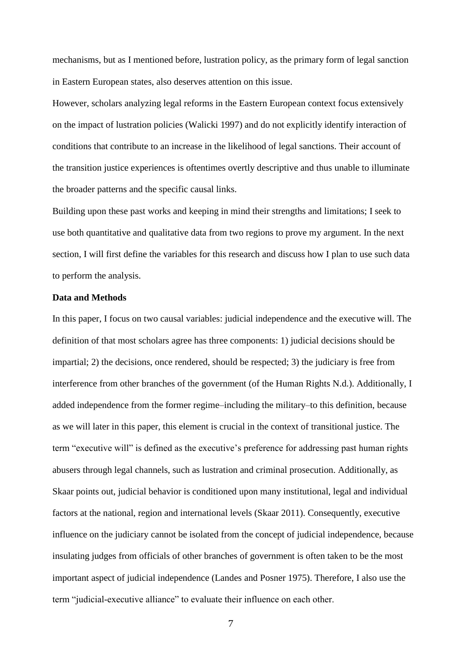mechanisms, but as I mentioned before, lustration policy, as the primary form of legal sanction in Eastern European states, also deserves attention on this issue.

However, scholars analyzing legal reforms in the Eastern European context focus extensively on the impact of lustration policies (Walicki 1997) and do not explicitly identify interaction of conditions that contribute to an increase in the likelihood of legal sanctions. Their account of the transition justice experiences is oftentimes overtly descriptive and thus unable to illuminate the broader patterns and the specific causal links.

Building upon these past works and keeping in mind their strengths and limitations; I seek to use both quantitative and qualitative data from two regions to prove my argument. In the next section, I will first define the variables for this research and discuss how I plan to use such data to perform the analysis.

#### **Data and Methods**

In this paper, I focus on two causal variables: judicial independence and the executive will. The definition of that most scholars agree has three components: 1) judicial decisions should be impartial; 2) the decisions, once rendered, should be respected; 3) the judiciary is free from interference from other branches of the government (of the Human Rights N.d.). Additionally, I added independence from the former regime–including the military–to this definition, because as we will later in this paper, this element is crucial in the context of transitional justice. The term "executive will" is defined as the executive's preference for addressing past human rights abusers through legal channels, such as lustration and criminal prosecution. Additionally, as Skaar points out, judicial behavior is conditioned upon many institutional, legal and individual factors at the national, region and international levels (Skaar 2011). Consequently, executive influence on the judiciary cannot be isolated from the concept of judicial independence, because insulating judges from officials of other branches of government is often taken to be the most important aspect of judicial independence (Landes and Posner 1975). Therefore, I also use the term "judicial-executive alliance" to evaluate their influence on each other.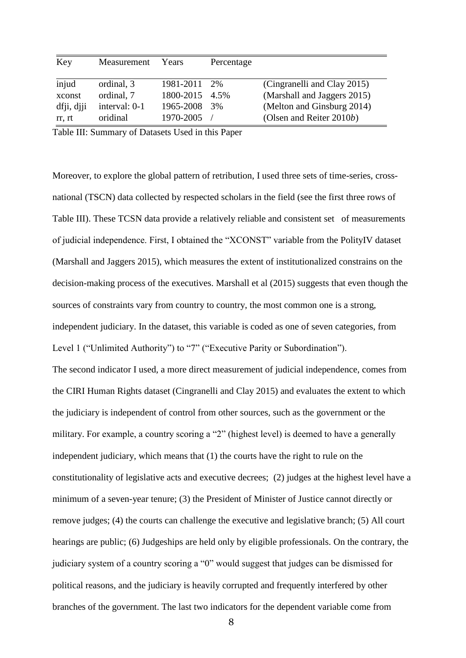| Key        | Measurement   | Years          | Percentage |                             |
|------------|---------------|----------------|------------|-----------------------------|
|            |               |                |            |                             |
| injud      | ordinal, 3    | 1981-2011      | $2\%$      | (Cingranelli and Clay 2015) |
| xconst     | ordinal, 7    | 1800-2015 4.5% |            | (Marshall and Jaggers 2015) |
| dfji, djji | interval: 0-1 | 1965-2008      | 3%         | (Melton and Ginsburg 2014)  |
| rr. rt     | oridinal      | 1970-2005      |            | (Olsen and Reiter 2010b)    |

Table III: Summary of Datasets Used in this Paper

Moreover, to explore the global pattern of retribution, I used three sets of time-series, crossnational (TSCN) data collected by respected scholars in the field (see the first three rows of Table III). These TCSN data provide a relatively reliable and consistent set of measurements of judicial independence. First, I obtained the "XCONST" variable from the PolityIV dataset (Marshall and Jaggers 2015), which measures the extent of institutionalized constrains on the decision-making process of the executives. Marshall et al (2015) suggests that even though the sources of constraints vary from country to country, the most common one is a strong, independent judiciary. In the dataset, this variable is coded as one of seven categories, from Level 1 ("Unlimited Authority") to "7" ("Executive Parity or Subordination"). The second indicator I used, a more direct measurement of judicial independence, comes from the CIRI Human Rights dataset (Cingranelli and Clay 2015) and evaluates the extent to which the judiciary is independent of control from other sources, such as the government or the military. For example, a country scoring a "2" (highest level) is deemed to have a generally independent judiciary, which means that (1) the courts have the right to rule on the constitutionality of legislative acts and executive decrees; (2) judges at the highest level have a minimum of a seven-year tenure; (3) the President of Minister of Justice cannot directly or remove judges; (4) the courts can challenge the executive and legislative branch; (5) All court hearings are public; (6) Judgeships are held only by eligible professionals. On the contrary, the judiciary system of a country scoring a "0" would suggest that judges can be dismissed for political reasons, and the judiciary is heavily corrupted and frequently interfered by other branches of the government. The last two indicators for the dependent variable come from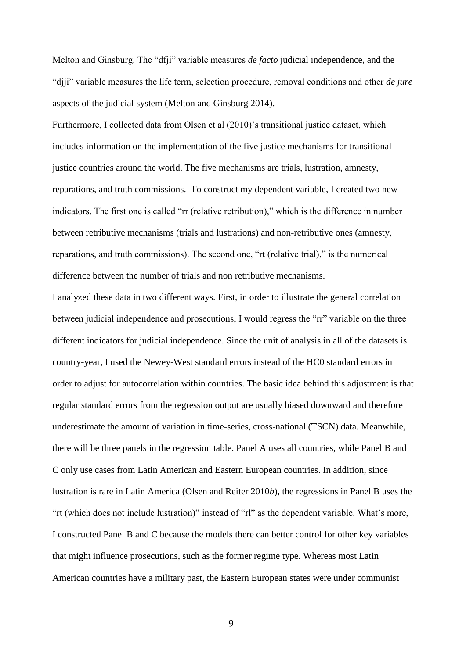Melton and Ginsburg. The "dfji" variable measures *de facto* judicial independence, and the "djji" variable measures the life term, selection procedure, removal conditions and other *de jure*  aspects of the judicial system (Melton and Ginsburg 2014).

Furthermore, I collected data from Olsen et al (2010)'s transitional justice dataset, which includes information on the implementation of the five justice mechanisms for transitional justice countries around the world. The five mechanisms are trials, lustration, amnesty, reparations, and truth commissions. To construct my dependent variable, I created two new indicators. The first one is called "rr (relative retribution)," which is the difference in number between retributive mechanisms (trials and lustrations) and non-retributive ones (amnesty, reparations, and truth commissions). The second one, "rt (relative trial)," is the numerical difference between the number of trials and non retributive mechanisms.

I analyzed these data in two different ways. First, in order to illustrate the general correlation between judicial independence and prosecutions, I would regress the "rr" variable on the three different indicators for judicial independence. Since the unit of analysis in all of the datasets is country-year, I used the Newey-West standard errors instead of the HC0 standard errors in order to adjust for autocorrelation within countries. The basic idea behind this adjustment is that regular standard errors from the regression output are usually biased downward and therefore underestimate the amount of variation in time-series, cross-national (TSCN) data. Meanwhile, there will be three panels in the regression table. Panel A uses all countries, while Panel B and C only use cases from Latin American and Eastern European countries. In addition, since lustration is rare in Latin America (Olsen and Reiter 2010*b*), the regressions in Panel B uses the "rt (which does not include lustration)" instead of "rl" as the dependent variable. What's more, I constructed Panel B and C because the models there can better control for other key variables that might influence prosecutions, such as the former regime type. Whereas most Latin American countries have a military past, the Eastern European states were under communist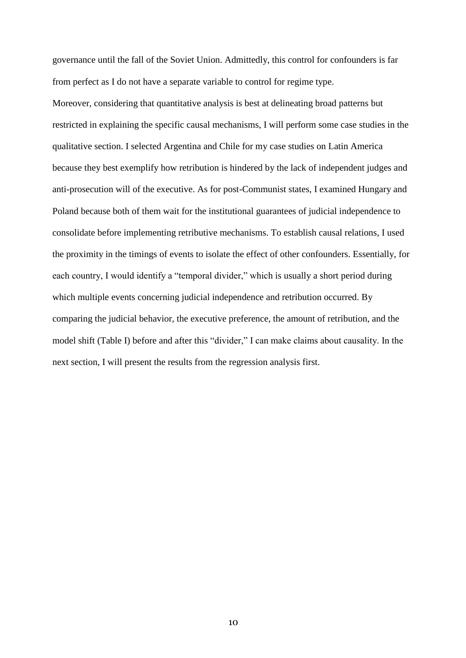governance until the fall of the Soviet Union. Admittedly, this control for confounders is far from perfect as I do not have a separate variable to control for regime type. Moreover, considering that quantitative analysis is best at delineating broad patterns but restricted in explaining the specific causal mechanisms, I will perform some case studies in the qualitative section. I selected Argentina and Chile for my case studies on Latin America because they best exemplify how retribution is hindered by the lack of independent judges and anti-prosecution will of the executive. As for post-Communist states, I examined Hungary and Poland because both of them wait for the institutional guarantees of judicial independence to consolidate before implementing retributive mechanisms. To establish causal relations, I used the proximity in the timings of events to isolate the effect of other confounders. Essentially, for each country, I would identify a "temporal divider," which is usually a short period during which multiple events concerning judicial independence and retribution occurred. By comparing the judicial behavior, the executive preference, the amount of retribution, and the model shift (Table I) before and after this "divider," I can make claims about causality. In the next section, I will present the results from the regression analysis first.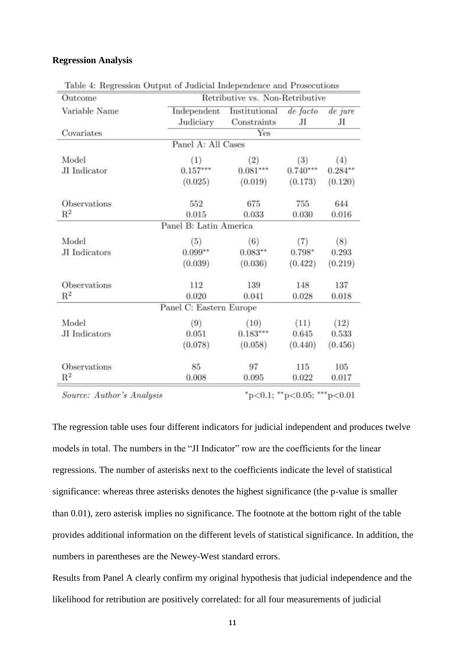#### **Regression Analysis**

| Outcome             | Retributive vs. Non-Retributive |                                                           |            |            |  |  |
|---------------------|---------------------------------|-----------------------------------------------------------|------------|------------|--|--|
| Variable Name       | Judiciary                       | Independent Institutional de facto de jure<br>Constraints | Л          | Л          |  |  |
| Covariates          | Yes                             |                                                           |            |            |  |  |
|                     | Panel A: All Cases              |                                                           |            |            |  |  |
| Model               | (1)                             | (2)                                                       | (3)        | (4)        |  |  |
| JI Indicator        | $0.157***$                      | $0.081***$                                                | $0.740***$ | $0.284***$ |  |  |
|                     | (0.025)                         | (0.019)                                                   | (0.173)    | (0.120)    |  |  |
| Observations        | 552                             | 675                                                       | 755        | 644        |  |  |
| $\mathbb{R}^2$      | 0.015                           | 0.033                                                     | 0.030      | 0.016      |  |  |
|                     | Panel B: Latin America          |                                                           |            |            |  |  |
| Model               | (5)                             | (6)                                                       | (7)        | (8)        |  |  |
| JI Indicators       | $0.099**$                       | $0.083**$                                                 | $0.798*$   | 0.293      |  |  |
|                     | (0.039)                         | (0.036)                                                   | (0.422)    | (0.219)    |  |  |
| Observations        | 112                             | 139                                                       | 148        | 137        |  |  |
| $\mathbf{R}^2$      | 0.020                           | 0.041                                                     | 0.028      | 0.018      |  |  |
|                     | Panel C: Eastern Europe         |                                                           |            |            |  |  |
| Model               | (9)                             | (10)                                                      | (11)       | (12)       |  |  |
| JI Indicators       | 0.051                           | $0.183***$                                                | 0.645      | 0.533      |  |  |
|                     | (0.078)                         | (0.058)                                                   | (0.440)    | (0.456)    |  |  |
| <b>Observations</b> | 85                              | 97                                                        | 115        | 105        |  |  |
| $R^2$               | 0.008                           | 0.095                                                     | 0.022      | 0.017      |  |  |

Table 4: Regression Output of Judicial Independence and Prosecutions

Source: Author's Analysis

 $*_{p<0.1;}$   $*_{p<0.05;}$   $*_{p<0.01}$ 

The regression table uses four different indicators for judicial independent and produces twelve models in total. The numbers in the "JI Indicator" row are the coefficients for the linear regressions. The number of asterisks next to the coefficients indicate the level of statistical significance: whereas three asterisks denotes the highest significance (the p-value is smaller than 0.01), zero asterisk implies no significance. The footnote at the bottom right of the table provides additional information on the different levels of statistical significance. In addition, the numbers in parentheses are the Newey-West standard errors.

Results from Panel A clearly confirm my original hypothesis that judicial independence and the likelihood for retribution are positively correlated: for all four measurements of judicial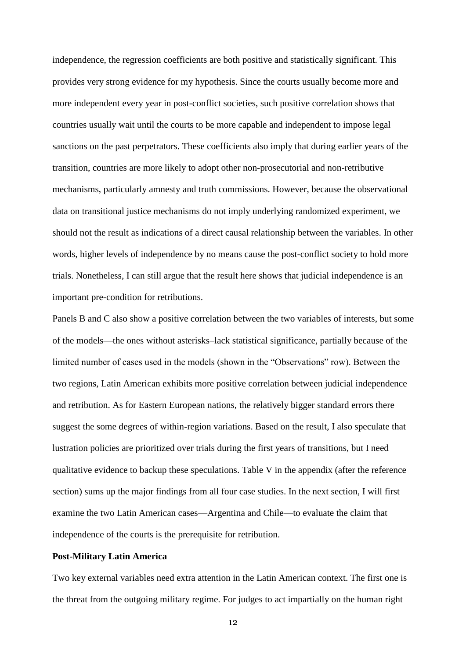independence, the regression coefficients are both positive and statistically significant. This provides very strong evidence for my hypothesis. Since the courts usually become more and more independent every year in post-conflict societies, such positive correlation shows that countries usually wait until the courts to be more capable and independent to impose legal sanctions on the past perpetrators. These coefficients also imply that during earlier years of the transition, countries are more likely to adopt other non-prosecutorial and non-retributive mechanisms, particularly amnesty and truth commissions. However, because the observational data on transitional justice mechanisms do not imply underlying randomized experiment, we should not the result as indications of a direct causal relationship between the variables. In other words, higher levels of independence by no means cause the post-conflict society to hold more trials. Nonetheless, I can still argue that the result here shows that judicial independence is an important pre-condition for retributions.

Panels B and C also show a positive correlation between the two variables of interests, but some of the models—the ones without asterisks–lack statistical significance, partially because of the limited number of cases used in the models (shown in the "Observations" row). Between the two regions, Latin American exhibits more positive correlation between judicial independence and retribution. As for Eastern European nations, the relatively bigger standard errors there suggest the some degrees of within-region variations. Based on the result, I also speculate that lustration policies are prioritized over trials during the first years of transitions, but I need qualitative evidence to backup these speculations. Table V in the appendix (after the reference section) sums up the major findings from all four case studies. In the next section, I will first examine the two Latin American cases—Argentina and Chile—to evaluate the claim that independence of the courts is the prerequisite for retribution.

#### **Post-Military Latin America**

Two key external variables need extra attention in the Latin American context. The first one is the threat from the outgoing military regime. For judges to act impartially on the human right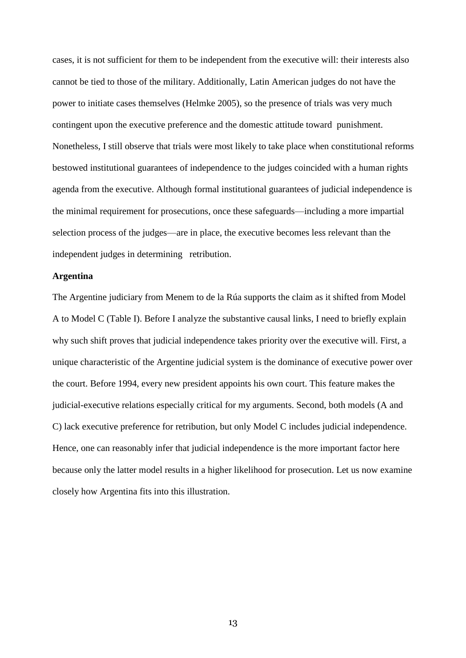cases, it is not sufficient for them to be independent from the executive will: their interests also cannot be tied to those of the military. Additionally, Latin American judges do not have the power to initiate cases themselves (Helmke 2005), so the presence of trials was very much contingent upon the executive preference and the domestic attitude toward punishment. Nonetheless, I still observe that trials were most likely to take place when constitutional reforms bestowed institutional guarantees of independence to the judges coincided with a human rights agenda from the executive. Although formal institutional guarantees of judicial independence is the minimal requirement for prosecutions, once these safeguards—including a more impartial selection process of the judges—are in place, the executive becomes less relevant than the independent judges in determining retribution.

#### **Argentina**

The Argentine judiciary from Menem to de la Rúa supports the claim as it shifted from Model A to Model C (Table I). Before I analyze the substantive causal links, I need to briefly explain why such shift proves that judicial independence takes priority over the executive will. First, a unique characteristic of the Argentine judicial system is the dominance of executive power over the court. Before 1994, every new president appoints his own court. This feature makes the judicial-executive relations especially critical for my arguments. Second, both models (A and C) lack executive preference for retribution, but only Model C includes judicial independence. Hence, one can reasonably infer that judicial independence is the more important factor here because only the latter model results in a higher likelihood for prosecution. Let us now examine closely how Argentina fits into this illustration.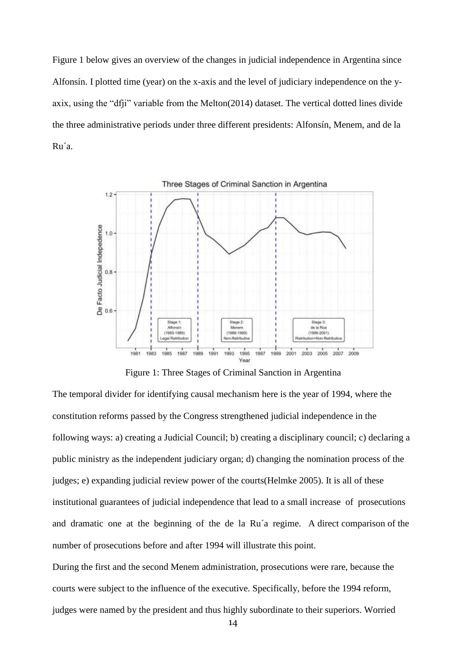Figure 1 below gives an overview of the changes in judicial independence in Argentina since Alfonsín. I plotted time (year) on the x-axis and the level of judiciary independence on the yaxix, using the "dfji" variable from the Melton(2014) dataset. The vertical dotted lines divide the three administrative periods under three different presidents: Alfonsín, Menem, and de la Ru´a.



Figure 1: Three Stages of Criminal Sanction in Argentina

The temporal divider for identifying causal mechanism here is the year of 1994, where the constitution reforms passed by the Congress strengthened judicial independence in the following ways: a) creating a Judicial Council; b) creating a disciplinary council; c) declaring a public ministry as the independent judiciary organ; d) changing the nomination process of the judges; e) expanding judicial review power of the courts(Helmke 2005). It is all of these institutional guarantees of judicial independence that lead to a small increase of prosecutions and dramatic one at the beginning of the de la Ru´a regime. A direct comparison of the number of prosecutions before and after 1994 will illustrate this point.

During the first and the second Menem administration, prosecutions were rare, because the courts were subject to the influence of the executive. Specifically, before the 1994 reform, judges were named by the president and thus highly subordinate to their superiors. Worried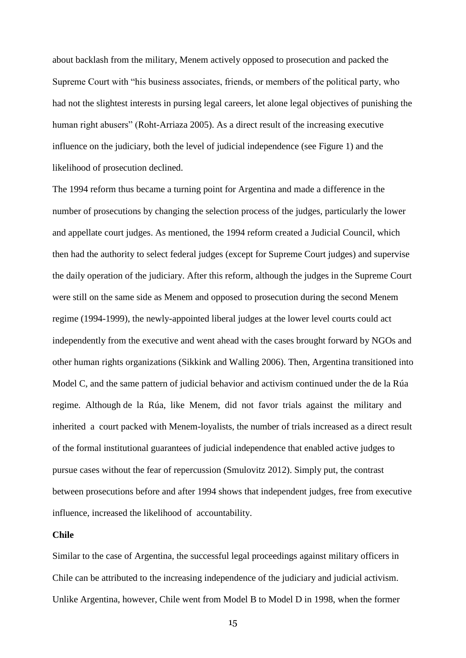about backlash from the military, Menem actively opposed to prosecution and packed the Supreme Court with "his business associates, friends, or members of the political party, who had not the slightest interests in pursing legal careers, let alone legal objectives of punishing the human right abusers" (Roht-Arriaza 2005). As a direct result of the increasing executive influence on the judiciary, both the level of judicial independence (see Figure 1) and the likelihood of prosecution declined.

The 1994 reform thus became a turning point for Argentina and made a difference in the number of prosecutions by changing the selection process of the judges, particularly the lower and appellate court judges. As mentioned, the 1994 reform created a Judicial Council, which then had the authority to select federal judges (except for Supreme Court judges) and supervise the daily operation of the judiciary. After this reform, although the judges in the Supreme Court were still on the same side as Menem and opposed to prosecution during the second Menem regime (1994-1999), the newly-appointed liberal judges at the lower level courts could act independently from the executive and went ahead with the cases brought forward by NGOs and other human rights organizations (Sikkink and Walling 2006). Then, Argentina transitioned into Model C, and the same pattern of judicial behavior and activism continued under the de la Rúa regime. Although de la Rúa, like Menem, did not favor trials against the military and inherited a court packed with Menem-loyalists, the number of trials increased as a direct result of the formal institutional guarantees of judicial independence that enabled active judges to pursue cases without the fear of repercussion (Smulovitz 2012). Simply put, the contrast between prosecutions before and after 1994 shows that independent judges, free from executive influence, increased the likelihood of accountability.

#### **Chile**

Similar to the case of Argentina, the successful legal proceedings against military officers in Chile can be attributed to the increasing independence of the judiciary and judicial activism. Unlike Argentina, however, Chile went from Model B to Model D in 1998, when the former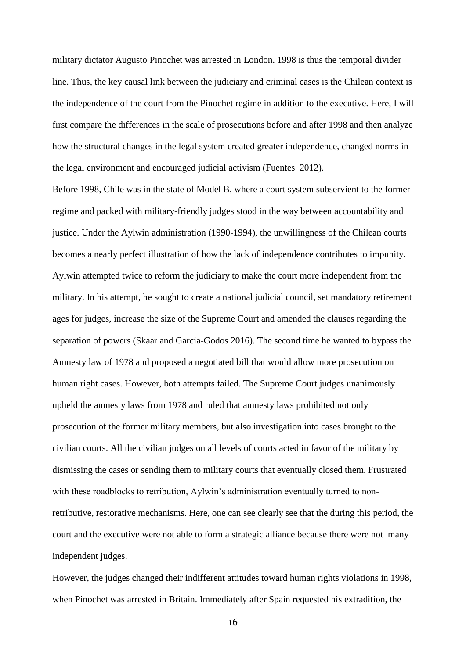military dictator Augusto Pinochet was arrested in London. 1998 is thus the temporal divider line. Thus, the key causal link between the judiciary and criminal cases is the Chilean context is the independence of the court from the Pinochet regime in addition to the executive. Here, I will first compare the differences in the scale of prosecutions before and after 1998 and then analyze how the structural changes in the legal system created greater independence, changed norms in the legal environment and encouraged judicial activism (Fuentes 2012).

Before 1998, Chile was in the state of Model B, where a court system subservient to the former regime and packed with military-friendly judges stood in the way between accountability and justice. Under the Aylwin administration (1990-1994), the unwillingness of the Chilean courts becomes a nearly perfect illustration of how the lack of independence contributes to impunity. Aylwin attempted twice to reform the judiciary to make the court more independent from the military. In his attempt, he sought to create a national judicial council, set mandatory retirement ages for judges, increase the size of the Supreme Court and amended the clauses regarding the separation of powers (Skaar and Garcia-Godos 2016). The second time he wanted to bypass the Amnesty law of 1978 and proposed a negotiated bill that would allow more prosecution on human right cases. However, both attempts failed. The Supreme Court judges unanimously upheld the amnesty laws from 1978 and ruled that amnesty laws prohibited not only prosecution of the former military members, but also investigation into cases brought to the civilian courts. All the civilian judges on all levels of courts acted in favor of the military by dismissing the cases or sending them to military courts that eventually closed them. Frustrated with these roadblocks to retribution, Aylwin's administration eventually turned to nonretributive, restorative mechanisms. Here, one can see clearly see that the during this period, the court and the executive were not able to form a strategic alliance because there were not many independent judges.

However, the judges changed their indifferent attitudes toward human rights violations in 1998, when Pinochet was arrested in Britain. Immediately after Spain requested his extradition, the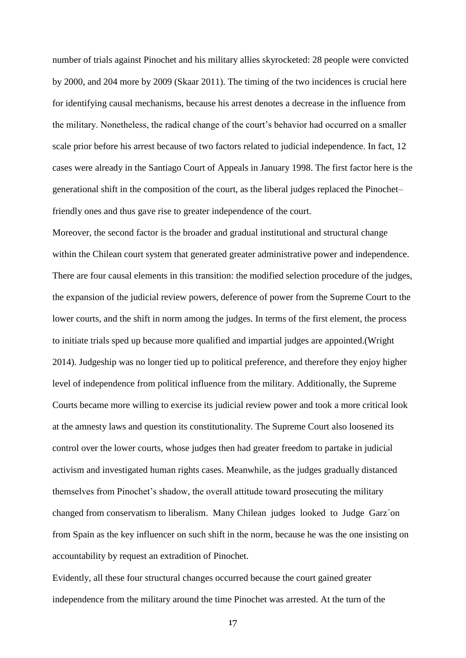number of trials against Pinochet and his military allies skyrocketed: 28 people were convicted by 2000, and 204 more by 2009 (Skaar 2011). The timing of the two incidences is crucial here for identifying causal mechanisms, because his arrest denotes a decrease in the influence from the military. Nonetheless, the radical change of the court's behavior had occurred on a smaller scale prior before his arrest because of two factors related to judicial independence. In fact, 12 cases were already in the Santiago Court of Appeals in January 1998. The first factor here is the generational shift in the composition of the court, as the liberal judges replaced the Pinochet– friendly ones and thus gave rise to greater independence of the court.

Moreover, the second factor is the broader and gradual institutional and structural change within the Chilean court system that generated greater administrative power and independence. There are four causal elements in this transition: the modified selection procedure of the judges, the expansion of the judicial review powers, deference of power from the Supreme Court to the lower courts, and the shift in norm among the judges. In terms of the first element, the process to initiate trials sped up because more qualified and impartial judges are appointed.(Wright 2014). Judgeship was no longer tied up to political preference, and therefore they enjoy higher level of independence from political influence from the military. Additionally, the Supreme Courts became more willing to exercise its judicial review power and took a more critical look at the amnesty laws and question its constitutionality. The Supreme Court also loosened its control over the lower courts, whose judges then had greater freedom to partake in judicial activism and investigated human rights cases. Meanwhile, as the judges gradually distanced themselves from Pinochet's shadow, the overall attitude toward prosecuting the military changed from conservatism to liberalism. Many Chilean judges looked to Judge Garz´on from Spain as the key influencer on such shift in the norm, because he was the one insisting on accountability by request an extradition of Pinochet.

Evidently, all these four structural changes occurred because the court gained greater independence from the military around the time Pinochet was arrested. At the turn of the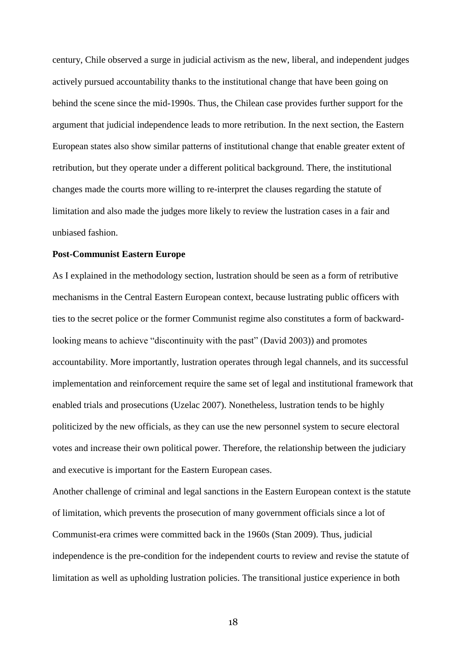century, Chile observed a surge in judicial activism as the new, liberal, and independent judges actively pursued accountability thanks to the institutional change that have been going on behind the scene since the mid-1990s. Thus, the Chilean case provides further support for the argument that judicial independence leads to more retribution. In the next section, the Eastern European states also show similar patterns of institutional change that enable greater extent of retribution, but they operate under a different political background. There, the institutional changes made the courts more willing to re-interpret the clauses regarding the statute of limitation and also made the judges more likely to review the lustration cases in a fair and unbiased fashion.

#### **Post-Communist Eastern Europe**

As I explained in the methodology section, lustration should be seen as a form of retributive mechanisms in the Central Eastern European context, because lustrating public officers with ties to the secret police or the former Communist regime also constitutes a form of backwardlooking means to achieve "discontinuity with the past" (David 2003)) and promotes accountability. More importantly, lustration operates through legal channels, and its successful implementation and reinforcement require the same set of legal and institutional framework that enabled trials and prosecutions (Uzelac 2007). Nonetheless, lustration tends to be highly politicized by the new officials, as they can use the new personnel system to secure electoral votes and increase their own political power. Therefore, the relationship between the judiciary and executive is important for the Eastern European cases.

Another challenge of criminal and legal sanctions in the Eastern European context is the statute of limitation, which prevents the prosecution of many government officials since a lot of Communist-era crimes were committed back in the 1960s (Stan 2009). Thus, judicial independence is the pre-condition for the independent courts to review and revise the statute of limitation as well as upholding lustration policies. The transitional justice experience in both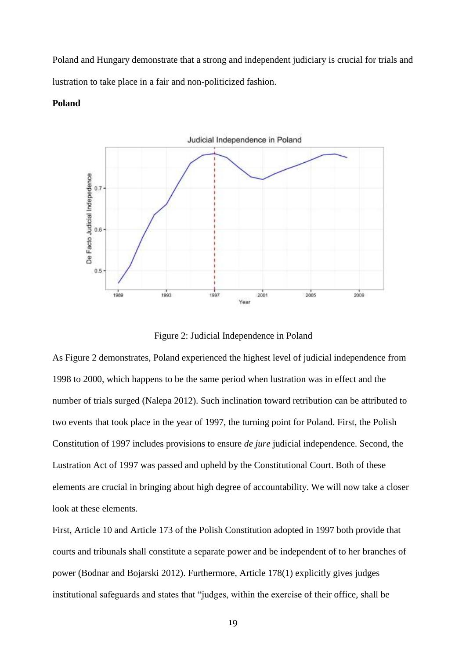Poland and Hungary demonstrate that a strong and independent judiciary is crucial for trials and lustration to take place in a fair and non-politicized fashion.

#### **Poland**



Figure 2: Judicial Independence in Poland

As Figure 2 demonstrates, Poland experienced the highest level of judicial independence from 1998 to 2000, which happens to be the same period when lustration was in effect and the number of trials surged (Nalepa 2012). Such inclination toward retribution can be attributed to two events that took place in the year of 1997, the turning point for Poland. First, the Polish Constitution of 1997 includes provisions to ensure *de jure* judicial independence. Second, the Lustration Act of 1997 was passed and upheld by the Constitutional Court. Both of these elements are crucial in bringing about high degree of accountability. We will now take a closer look at these elements.

First, Article 10 and Article 173 of the Polish Constitution adopted in 1997 both provide that courts and tribunals shall constitute a separate power and be independent of to her branches of power (Bodnar and Bojarski 2012). Furthermore, Article 178(1) explicitly gives judges institutional safeguards and states that "judges, within the exercise of their office, shall be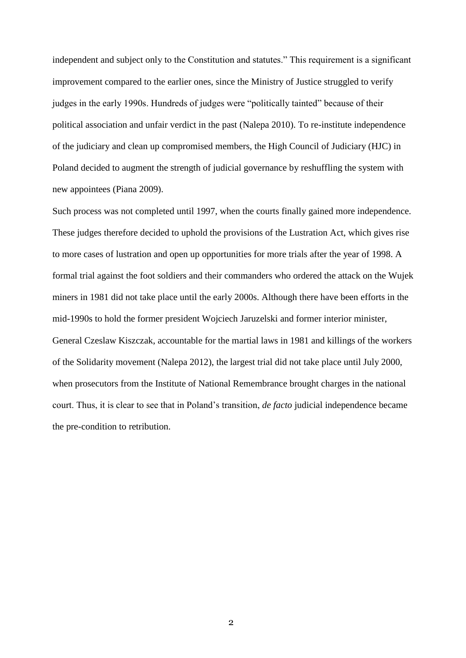independent and subject only to the Constitution and statutes." This requirement is a significant improvement compared to the earlier ones, since the Ministry of Justice struggled to verify judges in the early 1990s. Hundreds of judges were "politically tainted" because of their political association and unfair verdict in the past (Nalepa 2010). To re-institute independence of the judiciary and clean up compromised members, the High Council of Judiciary (HJC) in Poland decided to augment the strength of judicial governance by reshuffling the system with new appointees (Piana 2009).

Such process was not completed until 1997, when the courts finally gained more independence. These judges therefore decided to uphold the provisions of the Lustration Act, which gives rise to more cases of lustration and open up opportunities for more trials after the year of 1998. A formal trial against the foot soldiers and their commanders who ordered the attack on the Wujek miners in 1981 did not take place until the early 2000s. Although there have been efforts in the mid-1990s to hold the former president Wojciech Jaruzelski and former interior minister, General Czeslaw Kiszczak, accountable for the martial laws in 1981 and killings of the workers of the Solidarity movement (Nalepa 2012), the largest trial did not take place until July 2000, when prosecutors from the Institute of National Remembrance brought charges in the national court. Thus, it is clear to see that in Poland's transition, *de facto* judicial independence became the pre-condition to retribution.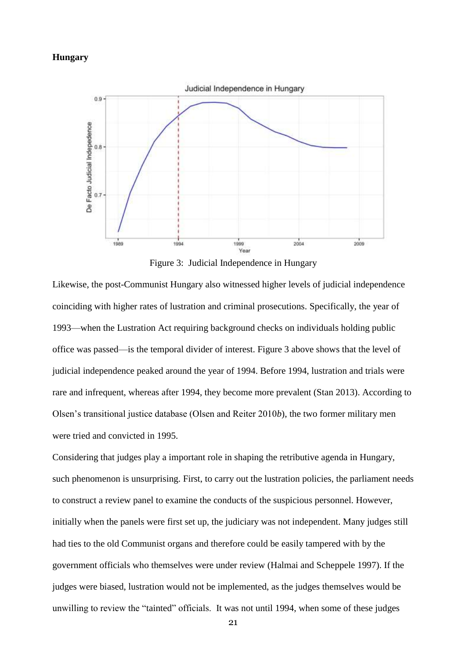#### **Hungary**



Figure 3: Judicial Independence in Hungary

Likewise, the post-Communist Hungary also witnessed higher levels of judicial independence coinciding with higher rates of lustration and criminal prosecutions. Specifically, the year of 1993—when the Lustration Act requiring background checks on individuals holding public office was passed—is the temporal divider of interest. Figure 3 above shows that the level of judicial independence peaked around the year of 1994. Before 1994, lustration and trials were rare and infrequent, whereas after 1994, they become more prevalent (Stan 2013). According to Olsen's transitional justice database (Olsen and Reiter 2010*b*), the two former military men were tried and convicted in 1995.

Considering that judges play a important role in shaping the retributive agenda in Hungary, such phenomenon is unsurprising. First, to carry out the lustration policies, the parliament needs to construct a review panel to examine the conducts of the suspicious personnel. However, initially when the panels were first set up, the judiciary was not independent. Many judges still had ties to the old Communist organs and therefore could be easily tampered with by the government officials who themselves were under review (Halmai and Scheppele 1997). If the judges were biased, lustration would not be implemented, as the judges themselves would be unwilling to review the "tainted" officials. It was not until 1994, when some of these judges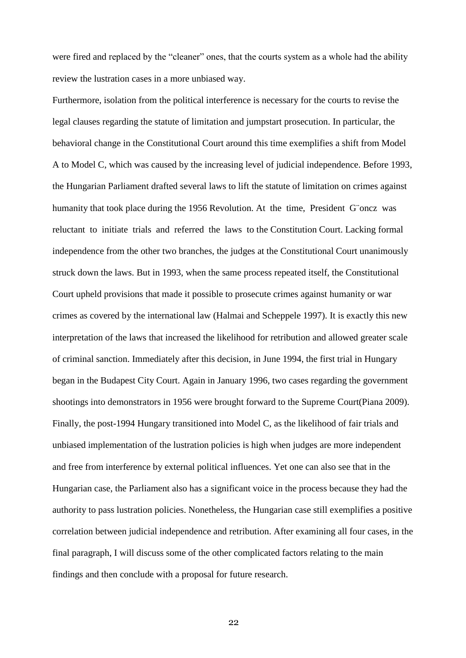were fired and replaced by the "cleaner" ones, that the courts system as a whole had the ability review the lustration cases in a more unbiased way.

Furthermore, isolation from the political interference is necessary for the courts to revise the legal clauses regarding the statute of limitation and jumpstart prosecution. In particular, the behavioral change in the Constitutional Court around this time exemplifies a shift from Model A to Model C, which was caused by the increasing level of judicial independence. Before 1993, the Hungarian Parliament drafted several laws to lift the statute of limitation on crimes against humanity that took place during the 1956 Revolution. At the time, President G¨oncz was reluctant to initiate trials and referred the laws to the Constitution Court. Lacking formal independence from the other two branches, the judges at the Constitutional Court unanimously struck down the laws. But in 1993, when the same process repeated itself, the Constitutional Court upheld provisions that made it possible to prosecute crimes against humanity or war crimes as covered by the international law (Halmai and Scheppele 1997). It is exactly this new interpretation of the laws that increased the likelihood for retribution and allowed greater scale of criminal sanction. Immediately after this decision, in June 1994, the first trial in Hungary began in the Budapest City Court. Again in January 1996, two cases regarding the government shootings into demonstrators in 1956 were brought forward to the Supreme Court(Piana 2009). Finally, the post-1994 Hungary transitioned into Model C, as the likelihood of fair trials and unbiased implementation of the lustration policies is high when judges are more independent and free from interference by external political influences. Yet one can also see that in the Hungarian case, the Parliament also has a significant voice in the process because they had the authority to pass lustration policies. Nonetheless, the Hungarian case still exemplifies a positive correlation between judicial independence and retribution. After examining all four cases, in the final paragraph, I will discuss some of the other complicated factors relating to the main findings and then conclude with a proposal for future research.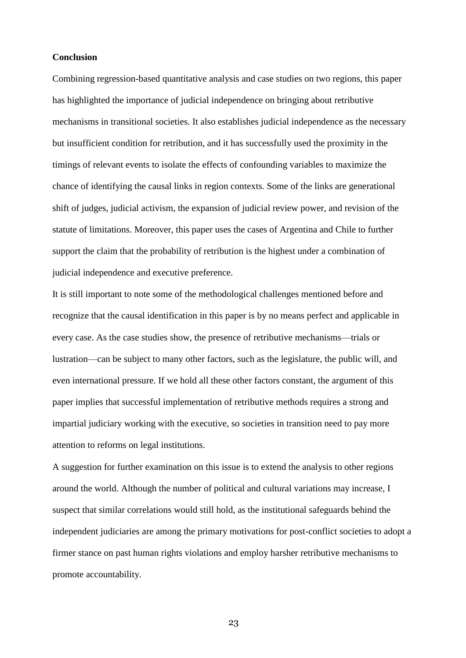#### **Conclusion**

Combining regression-based quantitative analysis and case studies on two regions, this paper has highlighted the importance of judicial independence on bringing about retributive mechanisms in transitional societies. It also establishes judicial independence as the necessary but insufficient condition for retribution, and it has successfully used the proximity in the timings of relevant events to isolate the effects of confounding variables to maximize the chance of identifying the causal links in region contexts. Some of the links are generational shift of judges, judicial activism, the expansion of judicial review power, and revision of the statute of limitations. Moreover, this paper uses the cases of Argentina and Chile to further support the claim that the probability of retribution is the highest under a combination of judicial independence and executive preference.

It is still important to note some of the methodological challenges mentioned before and recognize that the causal identification in this paper is by no means perfect and applicable in every case. As the case studies show, the presence of retributive mechanisms—trials or lustration—can be subject to many other factors, such as the legislature, the public will, and even international pressure. If we hold all these other factors constant, the argument of this paper implies that successful implementation of retributive methods requires a strong and impartial judiciary working with the executive, so societies in transition need to pay more attention to reforms on legal institutions.

A suggestion for further examination on this issue is to extend the analysis to other regions around the world. Although the number of political and cultural variations may increase, I suspect that similar correlations would still hold, as the institutional safeguards behind the independent judiciaries are among the primary motivations for post-conflict societies to adopt a firmer stance on past human rights violations and employ harsher retributive mechanisms to promote accountability.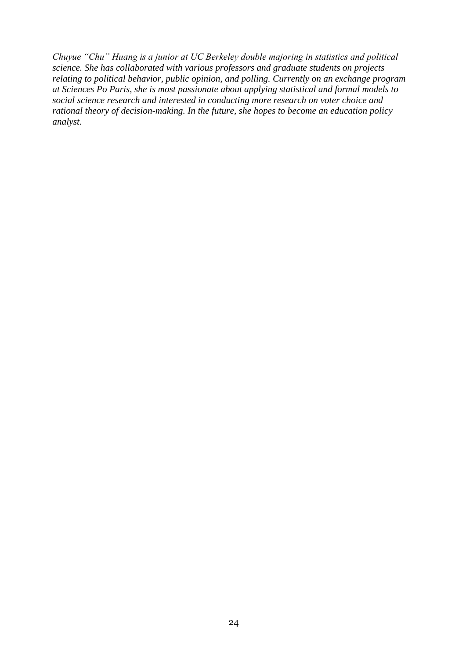*Chuyue "Chu" Huang is a junior at UC Berkeley double majoring in statistics and political science. She has collaborated with various professors and graduate students on projects relating to political behavior, public opinion, and polling. Currently on an exchange program at Sciences Po Paris, she is most passionate about applying statistical and formal models to social science research and interested in conducting more research on voter choice and rational theory of decision-making. In the future, she hopes to become an education policy analyst.*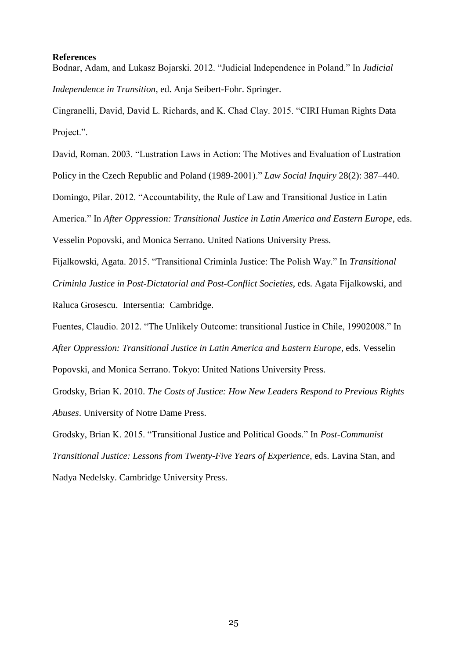#### **References**

Bodnar, Adam, and Lukasz Bojarski. 2012. "Judicial Independence in Poland." In *Judicial Independence in Transition*, ed. Anja Seibert-Fohr. Springer.

Cingranelli, David, David L. Richards, and K. Chad Clay. 2015. "CIRI Human Rights Data Project.".

David, Roman. 2003. "Lustration Laws in Action: The Motives and Evaluation of Lustration

Policy in the Czech Republic and Poland (1989-2001)." *Law Social Inquiry* 28(2): 387–440.

Domingo, Pilar. 2012. "Accountability, the Rule of Law and Transitional Justice in Latin

America." In *After Oppression: Transitional Justice in Latin America and Eastern Europe*, eds.

Vesselin Popovski, and Monica Serrano. United Nations University Press.

Fijalkowski, Agata. 2015. "Transitional Criminla Justice: The Polish Way." In *Transitional* 

*Criminla Justice in Post-Dictatorial and Post-Conflict Societies*, eds. Agata Fijalkowski, and

Raluca Grosescu. Intersentia: Cambridge.

Fuentes, Claudio. 2012. "The Unlikely Outcome: transitional Justice in Chile, 19902008." In *After Oppression: Transitional Justice in Latin America and Eastern Europe*, eds. Vesselin Popovski, and Monica Serrano. Tokyo: United Nations University Press.

Grodsky, Brian K. 2010. *The Costs of Justice: How New Leaders Respond to Previous Rights Abuses*. University of Notre Dame Press.

Grodsky, Brian K. 2015. "Transitional Justice and Political Goods." In *Post-Communist Transitional Justice: Lessons from Twenty-Five Years of Experience*, eds. Lavina Stan, and Nadya Nedelsky. Cambridge University Press.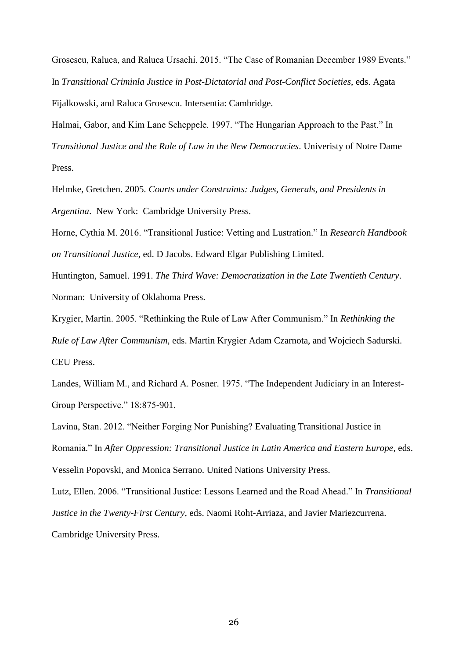Grosescu, Raluca, and Raluca Ursachi. 2015. "The Case of Romanian December 1989 Events." In *Transitional Criminla Justice in Post-Dictatorial and Post-Conflict Societies*, eds. Agata Fijalkowski, and Raluca Grosescu. Intersentia: Cambridge.

Halmai, Gabor, and Kim Lane Scheppele. 1997. "The Hungarian Approach to the Past." In *Transitional Justice and the Rule of Law in the New Democracies*. Univeristy of Notre Dame Press.

Helmke, Gretchen. 2005. *Courts under Constraints: Judges, Generals, and Presidents in Argentina*. New York: Cambridge University Press.

Horne, Cythia M. 2016. "Transitional Justice: Vetting and Lustration." In *Research Handbook on Transitional Justice*, ed. D Jacobs. Edward Elgar Publishing Limited.

Huntington, Samuel. 1991. *The Third Wave: Democratization in the Late Twentieth Century*. Norman: University of Oklahoma Press.

Krygier, Martin. 2005. "Rethinking the Rule of Law After Communism." In *Rethinking the* 

*Rule of Law After Communism*, eds. Martin Krygier Adam Czarnota, and Wojciech Sadurski. CEU Press.

Landes, William M., and Richard A. Posner. 1975. "The Independent Judiciary in an Interest-Group Perspective." 18:875-901.

Lavina, Stan. 2012. "Neither Forging Nor Punishing? Evaluating Transitional Justice in Romania." In *After Oppression: Transitional Justice in Latin America and Eastern Europe*, eds. Vesselin Popovski, and Monica Serrano. United Nations University Press.

Lutz, Ellen. 2006. "Transitional Justice: Lessons Learned and the Road Ahead." In *Transitional Justice in the Twenty-First Century*, eds. Naomi Roht-Arriaza, and Javier Mariezcurrena. Cambridge University Press.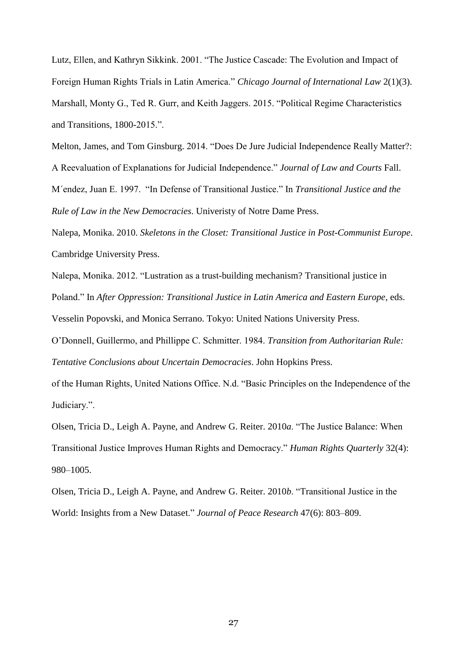Lutz, Ellen, and Kathryn Sikkink. 2001. "The Justice Cascade: The Evolution and Impact of Foreign Human Rights Trials in Latin America." *Chicago Journal of International Law* 2(1)(3). Marshall, Monty G., Ted R. Gurr, and Keith Jaggers. 2015. "Political Regime Characteristics and Transitions, 1800-2015.".

Melton, James, and Tom Ginsburg. 2014. "Does De Jure Judicial Independence Really Matter?: A Reevaluation of Explanations for Judicial Independence." *Journal of Law and Courts* Fall. M´endez, Juan E. 1997. "In Defense of Transitional Justice." In *Transitional Justice and the Rule of Law in the New Democracies*. Univeristy of Notre Dame Press.

Nalepa, Monika. 2010. *Skeletons in the Closet: Transitional Justice in Post-Communist Europe*. Cambridge University Press.

Nalepa, Monika. 2012. "Lustration as a trust-building mechanism? Transitional justice in Poland." In *After Oppression: Transitional Justice in Latin America and Eastern Europe*, eds. Vesselin Popovski, and Monica Serrano. Tokyo: United Nations University Press.

O'Donnell, Guillermo, and Phillippe C. Schmitter. 1984. *Transition from Authoritarian Rule: Tentative Conclusions about Uncertain Democracies*. John Hopkins Press.

of the Human Rights, United Nations Office. N.d. "Basic Principles on the Independence of the Judiciary.".

Olsen, Tricia D., Leigh A. Payne, and Andrew G. Reiter. 2010*a*. "The Justice Balance: When Transitional Justice Improves Human Rights and Democracy." *Human Rights Quarterly* 32(4): 980–1005.

Olsen, Tricia D., Leigh A. Payne, and Andrew G. Reiter. 2010*b*. "Transitional Justice in the World: Insights from a New Dataset." *Journal of Peace Research* 47(6): 803–809.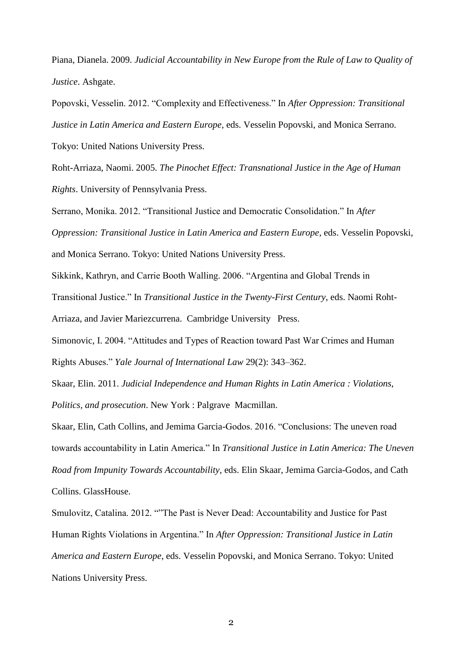Piana, Dianela. 2009. *Judicial Accountability in New Europe from the Rule of Law to Quality of Justice*. Ashgate.

Popovski, Vesselin. 2012. "Complexity and Effectiveness." In *After Oppression: Transitional Justice in Latin America and Eastern Europe*, eds. Vesselin Popovski, and Monica Serrano. Tokyo: United Nations University Press.

Roht-Arriaza, Naomi. 2005. *The Pinochet Effect: Transnational Justice in the Age of Human Rights*. University of Pennsylvania Press.

Serrano, Monika. 2012. "Transitional Justice and Democratic Consolidation." In *After Oppression: Transitional Justice in Latin America and Eastern Europe*, eds. Vesselin Popovski, and Monica Serrano. Tokyo: United Nations University Press.

Sikkink, Kathryn, and Carrie Booth Walling. 2006. "Argentina and Global Trends in

Transitional Justice." In *Transitional Justice in the Twenty-First Century*, eds. Naomi Roht-Arriaza, and Javier Mariezcurrena. Cambridge University Press.

Simonovic, I. 2004. "Attitudes and Types of Reaction toward Past War Crimes and Human Rights Abuses." *Yale Journal of International Law* 29(2): 343–362.

Skaar, Elin. 2011. *Judicial Independence and Human Rights in Latin America : Violations, Politics, and prosecution*. New York : Palgrave Macmillan.

Skaar, Elin, Cath Collins, and Jemima Garcia-Godos. 2016. "Conclusions: The uneven road towards accountability in Latin America." In *Transitional Justice in Latin America: The Uneven Road from Impunity Towards Accountability*, eds. Elin Skaar, Jemima Garcia-Godos, and Cath Collins. GlassHouse.

Smulovitz, Catalina. 2012. ""The Past is Never Dead: Accountability and Justice for Past Human Rights Violations in Argentina." In *After Oppression: Transitional Justice in Latin America and Eastern Europe*, eds. Vesselin Popovski, and Monica Serrano. Tokyo: United Nations University Press.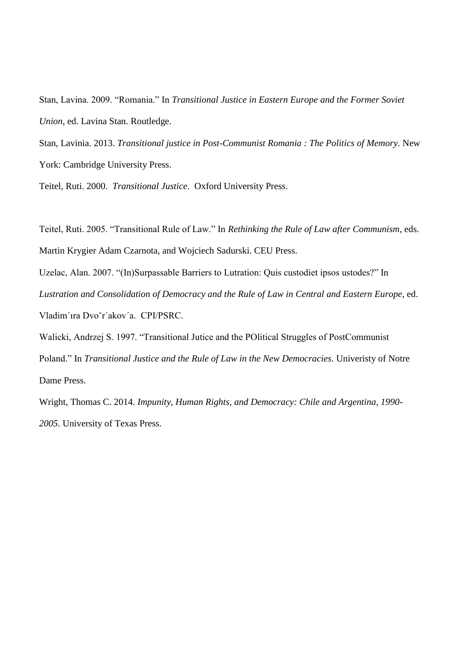Stan, Lavina. 2009. "Romania." In *Transitional Justice in Eastern Europe and the Former Soviet Union*, ed. Lavina Stan. Routledge.

Stan, Lavinia. 2013. *Transitional justice in Post-Communist Romania : The Politics of Memory*. New York: Cambridge University Press.

Teitel, Ruti. 2000. *Transitional Justice*. Oxford University Press.

Teitel, Ruti. 2005. "Transitional Rule of Law." In *Rethinking the Rule of Law after Communism*, eds. Martin Krygier Adam Czarnota, and Wojciech Sadurski. CEU Press.

Uzelac, Alan. 2007. "(In)Surpassable Barriers to Lutration: Quis custodiet ipsos ustodes?" In *Lustration and Consolidation of Democracy and the Rule of Law in Central and Eastern Europe*, ed. Vladim´ıra Dvoˇr´akov´a. CPI/PSRC.

Walicki, Andrzej S. 1997. "Transitional Jutice and the POlitical Struggles of PostCommunist

Poland." In *Transitional Justice and the Rule of Law in the New Democracies*. Univeristy of Notre Dame Press.

Wright, Thomas C. 2014. *Impunity, Human Rights, and Democracy: Chile and Argentina, 1990- 2005*. University of Texas Press.